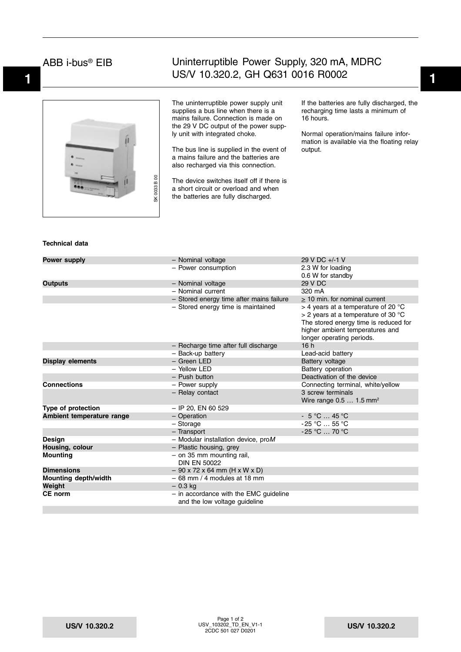### ABB i-bus® EIB

## **1 1** US/V 10.320.2, GH Q631 0016 R0002 Uninterruptible Power Supply, 320 mA, MDRC

SK 0033 B 00 SK 0033 B 00

The uninterruptible power supply unit supplies a bus line when there is a mains failure. Connection is made on the 29 V DC output of the power supply unit with integrated choke.

The bus line is supplied in the event of a mains failure and the batteries are also recharged via this connection.

The device switches itself off if there is a short circuit or overload and when the batteries are fully discharged.

If the batteries are fully discharged, the recharging time lasts a minimum of 16 hours.

Normal operation/mains failure information is available via the floating relay output.

#### **Technical data**

| Power supply                | - Nominal voltage                                                         | 29 V DC +/-1 V                                                                                                                                                                          |
|-----------------------------|---------------------------------------------------------------------------|-----------------------------------------------------------------------------------------------------------------------------------------------------------------------------------------|
|                             | - Power consumption                                                       | 2.3 W for loading                                                                                                                                                                       |
|                             |                                                                           | 0.6 W for standby                                                                                                                                                                       |
| <b>Outputs</b>              | - Nominal voltage                                                         | 29 V DC                                                                                                                                                                                 |
|                             | - Nominal current                                                         | 320 mA                                                                                                                                                                                  |
|                             | - Stored energy time after mains failure                                  | > 10 min. for nominal current                                                                                                                                                           |
|                             | - Stored energy time is maintained                                        | $>$ 4 years at a temperature of 20 °C<br>$>$ 2 years at a temperature of 30 °C<br>The stored energy time is reduced for<br>higher ambient temperatures and<br>longer operating periods. |
|                             | - Recharge time after full discharge                                      | 16h                                                                                                                                                                                     |
|                             | - Back-up battery                                                         | Lead-acid battery                                                                                                                                                                       |
| <b>Display elements</b>     | - Green LED                                                               | Battery voltage                                                                                                                                                                         |
|                             | - Yellow LED                                                              | Battery operation                                                                                                                                                                       |
|                             | - Push button                                                             | Deactivation of the device                                                                                                                                                              |
| <b>Connections</b>          | - Power supply                                                            | Connecting terminal, white/yellow                                                                                                                                                       |
|                             | - Relay contact                                                           | 3 screw terminals<br>Wire range $0.51.5$ mm <sup>2</sup>                                                                                                                                |
| Type of protection          | $-$ IP 20, EN 60 529                                                      |                                                                                                                                                                                         |
| Ambient temperature range   | - Operation                                                               | $-5$ °C  45 °C                                                                                                                                                                          |
|                             | $-$ Storage                                                               | $-25$ °C  55 °C                                                                                                                                                                         |
|                             | - Transport                                                               | -25 °C  70 °C                                                                                                                                                                           |
| <b>Design</b>               | $-$ Modular installation device, proM                                     |                                                                                                                                                                                         |
| Housing, colour             | - Plastic housing, grey                                                   |                                                                                                                                                                                         |
| <b>Mounting</b>             | $-$ on 35 mm mounting rail,<br><b>DIN EN 50022</b>                        |                                                                                                                                                                                         |
| <b>Dimensions</b>           | $-90 \times 72 \times 64$ mm (H x W x D)                                  |                                                                                                                                                                                         |
| <b>Mounting depth/width</b> | $-68$ mm / 4 modules at 18 mm                                             |                                                                                                                                                                                         |
| Weight                      | $-0.3$ kg                                                                 |                                                                                                                                                                                         |
| CE norm                     | $-$ in accordance with the EMC guideline<br>and the low voltage guideline |                                                                                                                                                                                         |